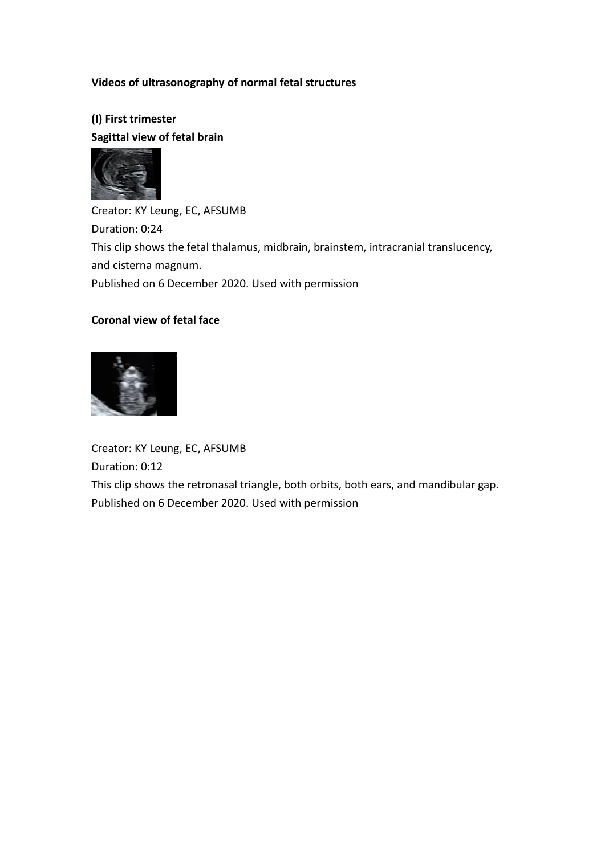# **Videos of ultrasonography of normal fetal structures**

**(I) First trimester Sagittal view of fetal brain** 



Creator: KY Leung, EC, AFSUMB Duration: 0:24 This clip shows the fetal thalamus, midbrain, brainstem, intracranial translucency, and cisterna magnum. Published on 6 December 2020. Used with permission

# **Coronal view of fetal face**



Creator: KY Leung, EC, AFSUMB Duration: 0:12 This clip shows the retronasal triangle, both orbits, both ears, and mandibular gap. Published on 6 December 2020. Used with permission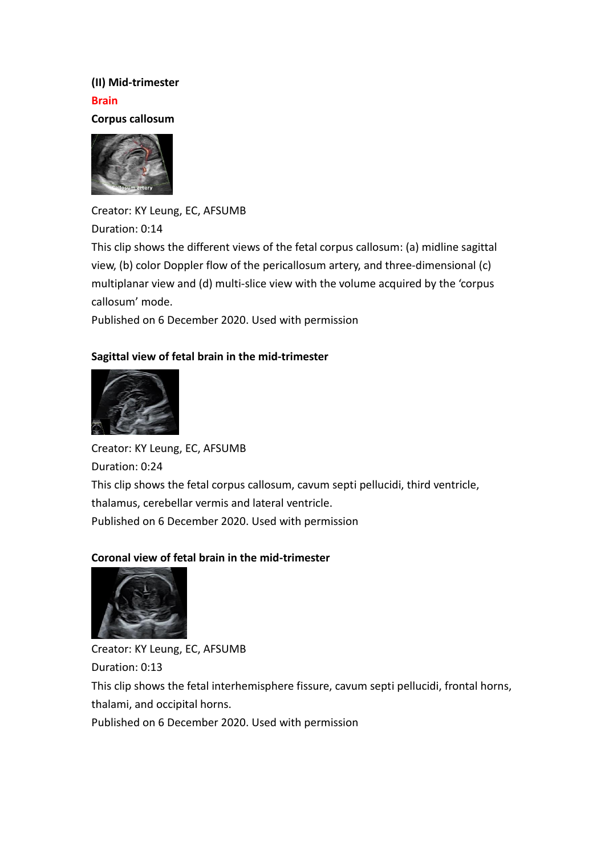# **(II) Mid-trimester**

**Brain** 

**Corpus callosum**



Creator: KY Leung, EC, AFSUMB Duration: 0:14 This clip shows the different views of the fetal corpus callosum: (a) midline sagittal view, (b) color Doppler flow of the pericallosum artery, and three-dimensional (c) multiplanar view and (d) multi-slice view with the volume acquired by the 'corpus callosum' mode.

Published on 6 December 2020. Used with permission

# **Sagittal view of fetal brain in the mid-trimester**



Creator: KY Leung, EC, AFSUMB Duration: 0:24 This clip shows the fetal corpus callosum, cavum septi pellucidi, third ventricle, thalamus, cerebellar vermis and lateral ventricle. Published on 6 December 2020. Used with permission

# **Coronal view of fetal brain in the mid-trimester**



Creator: KY Leung, EC, AFSUMB Duration: 0:13 This clip shows the fetal interhemisphere fissure, cavum septi pellucidi, frontal horns, thalami, and occipital horns. Published on 6 December 2020. Used with permission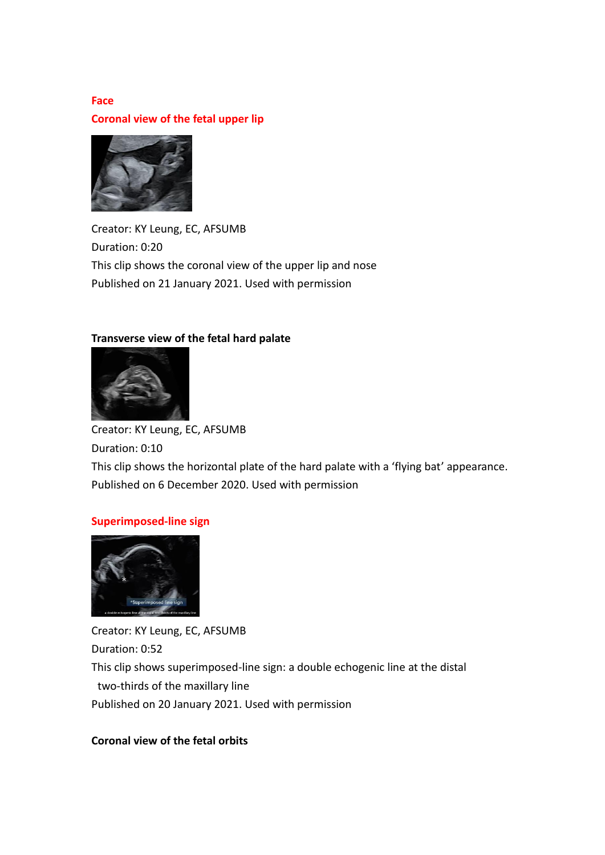**Face Coronal view of the fetal upper lip**



Creator: KY Leung, EC, AFSUMB Duration: 0:20 This clip shows the coronal view of the upper lip and nose Published on 21 January 2021. Used with permission

# **Transverse view of the fetal hard palate**



Creator: KY Leung, EC, AFSUMB Duration: 0:10 This clip shows the horizontal plate of the hard palate with a 'flying bat' appearance. Published on 6 December 2020. Used with permission

# **Superimposed-line sign**



Creator: KY Leung, EC, AFSUMB Duration: 0:52 This clip shows superimposed-line sign: a double echogenic line at the distal two-thirds of the maxillary line Published on 20 January 2021. Used with permission

# **Coronal view of the fetal orbits**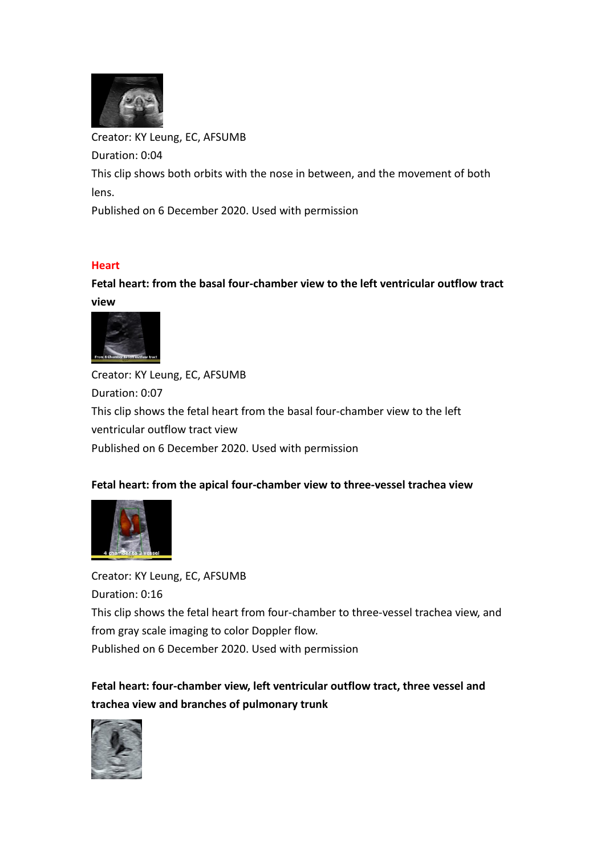

Creator: KY Leung, EC, AFSUMB Duration: 0:04 This clip shows both orbits with the nose in between, and the movement of both lens.

Published on 6 December 2020. Used with permission

### **Heart**

**Fetal heart: from the basal four-chamber view to the left ventricular outflow tract view** 



Creator: KY Leung, EC, AFSUMB Duration: 0:07 This clip shows the fetal heart from the basal four-chamber view to the left ventricular outflow tract view Published on 6 December 2020. Used with permission

# **Fetal heart: from the apical four-chamber view to three-vessel trachea view**



Creator: KY Leung, EC, AFSUMB Duration: 0:16 This clip shows the fetal heart from four-chamber to three-vessel trachea view, and from gray scale imaging to color Doppler flow. Published on 6 December 2020. Used with permission

**Fetal heart: four-chamber view, left ventricular outflow tract, three vessel and trachea view and branches of pulmonary trunk**

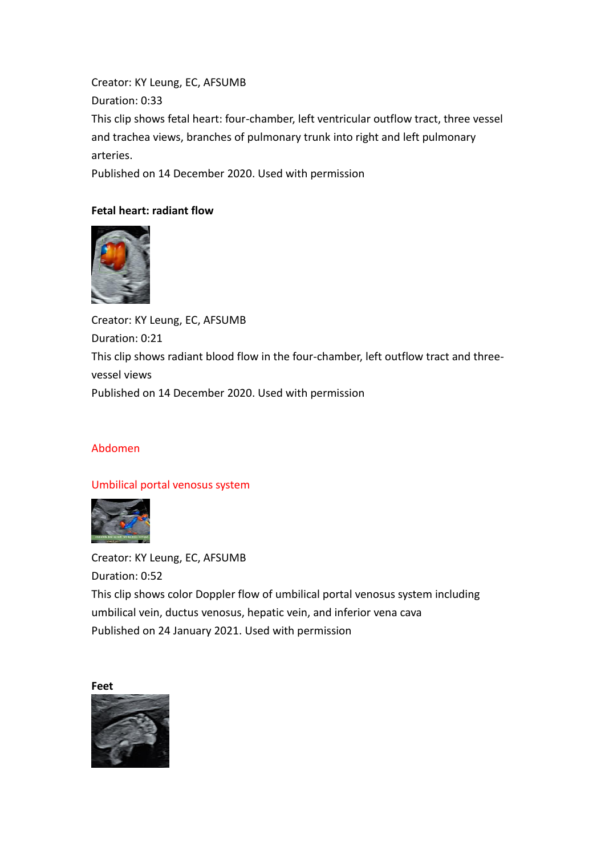Creator: KY Leung, EC, AFSUMB Duration: 0:33 This clip shows fetal heart: four-chamber, left ventricular outflow tract, three vessel and trachea views, branches of pulmonary trunk into right and left pulmonary arteries. Published on 14 December 2020. Used with permission

# **Fetal heart: radiant flow**



Creator: KY Leung, EC, AFSUMB Duration: 0:21 This clip shows radiant blood flow in the four-chamber, left outflow tract and threevessel views Published on 14 December 2020. Used with permission

### Abdomen

### Umbilical portal venosus system



Creator: KY Leung, EC, AFSUMB Duration: 0:52 This clip shows color Doppler flow of umbilical portal venosus system including umbilical vein, ductus venosus, hepatic vein, and inferior vena cava Published on 24 January 2021. Used with permission